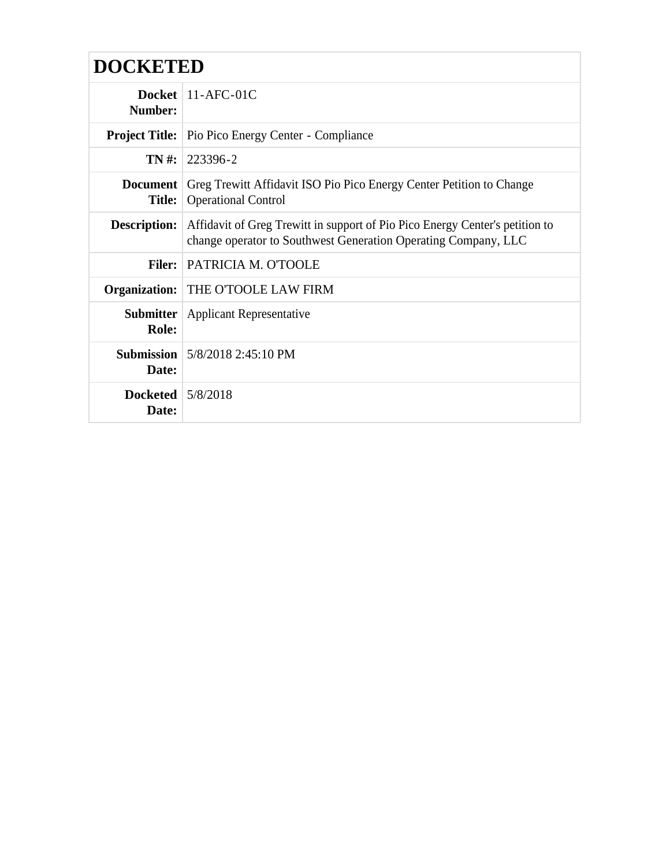| <b>DOCKETED</b>                  |                                                                                                                                                |  |
|----------------------------------|------------------------------------------------------------------------------------------------------------------------------------------------|--|
| <b>Number:</b>                   | Docket   $11-AFC-01C$                                                                                                                          |  |
|                                  | <b>Project Title:</b> Pio Pico Energy Center - Compliance                                                                                      |  |
|                                  | $TN \#: 223396 - 2$                                                                                                                            |  |
| <b>Document</b><br><b>Title:</b> | Greg Trewitt Affidavit ISO Pio Pico Energy Center Petition to Change<br><b>Operational Control</b>                                             |  |
| <b>Description:</b>              | Affidavit of Greg Trewitt in support of Pio Pico Energy Center's petition to<br>change operator to Southwest Generation Operating Company, LLC |  |
|                                  | Filer: PATRICIA M. O'TOOLE                                                                                                                     |  |
|                                  | Organization: THE O'TOOLE LAW FIRM                                                                                                             |  |
| <b>Submitter</b><br>Role:        | <b>Applicant Representative</b>                                                                                                                |  |
| Date:                            | <b>Submission</b> $\frac{5}{8}/20182:45:10 \text{ PM}$                                                                                         |  |
| Docketed $5/8/2018$<br>Date:     |                                                                                                                                                |  |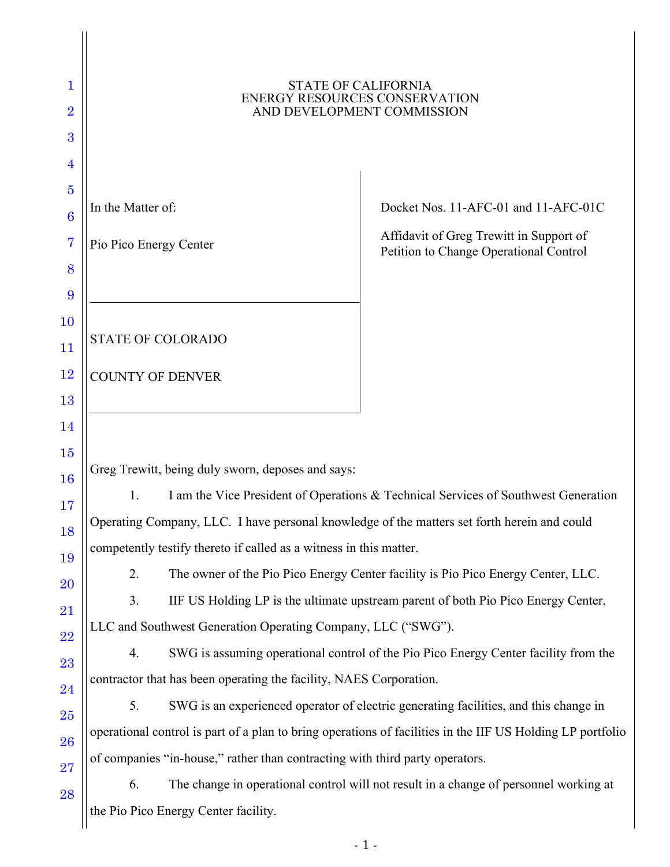| 1<br>$\overline{2}$<br>3 | <b>STATE OF CALIFORNIA</b><br>ENERGY RESOURCES CONSERVATION<br>AND DEVELOPMENT COMMISSION                  |                                                                                       |  |  |
|--------------------------|------------------------------------------------------------------------------------------------------------|---------------------------------------------------------------------------------------|--|--|
| 4                        |                                                                                                            |                                                                                       |  |  |
| $\bf{5}$                 |                                                                                                            |                                                                                       |  |  |
| $\boldsymbol{6}$         | In the Matter of:                                                                                          | Docket Nos. 11-AFC-01 and 11-AFC-01C                                                  |  |  |
| 7                        | Pio Pico Energy Center                                                                                     | Affidavit of Greg Trewitt in Support of<br>Petition to Change Operational Control     |  |  |
| 8                        |                                                                                                            |                                                                                       |  |  |
| 9                        |                                                                                                            |                                                                                       |  |  |
| 10                       |                                                                                                            |                                                                                       |  |  |
| 11                       | <b>STATE OF COLORADO</b>                                                                                   |                                                                                       |  |  |
| $12\,$                   | <b>COUNTY OF DENVER</b>                                                                                    |                                                                                       |  |  |
| 13                       |                                                                                                            |                                                                                       |  |  |
| 14                       |                                                                                                            |                                                                                       |  |  |
| 15                       | Greg Trewitt, being duly sworn, deposes and says:                                                          |                                                                                       |  |  |
| 16                       | I am the Vice President of Operations & Technical Services of Southwest Generation<br>1.                   |                                                                                       |  |  |
| 17<br>18                 | Operating Company, LLC. I have personal knowledge of the matters set forth herein and could                |                                                                                       |  |  |
| 19                       | competently testify thereto if called as a witness in this matter.                                         |                                                                                       |  |  |
| 20                       | 2.<br>The owner of the Pio Pico Energy Center facility is Pio Pico Energy Center, LLC.                     |                                                                                       |  |  |
| 21                       | 3.<br>IIF US Holding LP is the ultimate upstream parent of both Pio Pico Energy Center,                    |                                                                                       |  |  |
| 22                       | LLC and Southwest Generation Operating Company, LLC ("SWG").                                               |                                                                                       |  |  |
| 23                       | SWG is assuming operational control of the Pio Pico Energy Center facility from the<br>4.                  |                                                                                       |  |  |
| 24                       | contractor that has been operating the facility, NAES Corporation.                                         |                                                                                       |  |  |
| 25                       | 5.                                                                                                         | SWG is an experienced operator of electric generating facilities, and this change in  |  |  |
| 26                       | operational control is part of a plan to bring operations of facilities in the IIF US Holding LP portfolio |                                                                                       |  |  |
| 27                       | of companies "in-house," rather than contracting with third party operators.                               |                                                                                       |  |  |
| 28                       | 6.                                                                                                         | The change in operational control will not result in a change of personnel working at |  |  |
|                          | the Pio Pico Energy Center facility.                                                                       |                                                                                       |  |  |